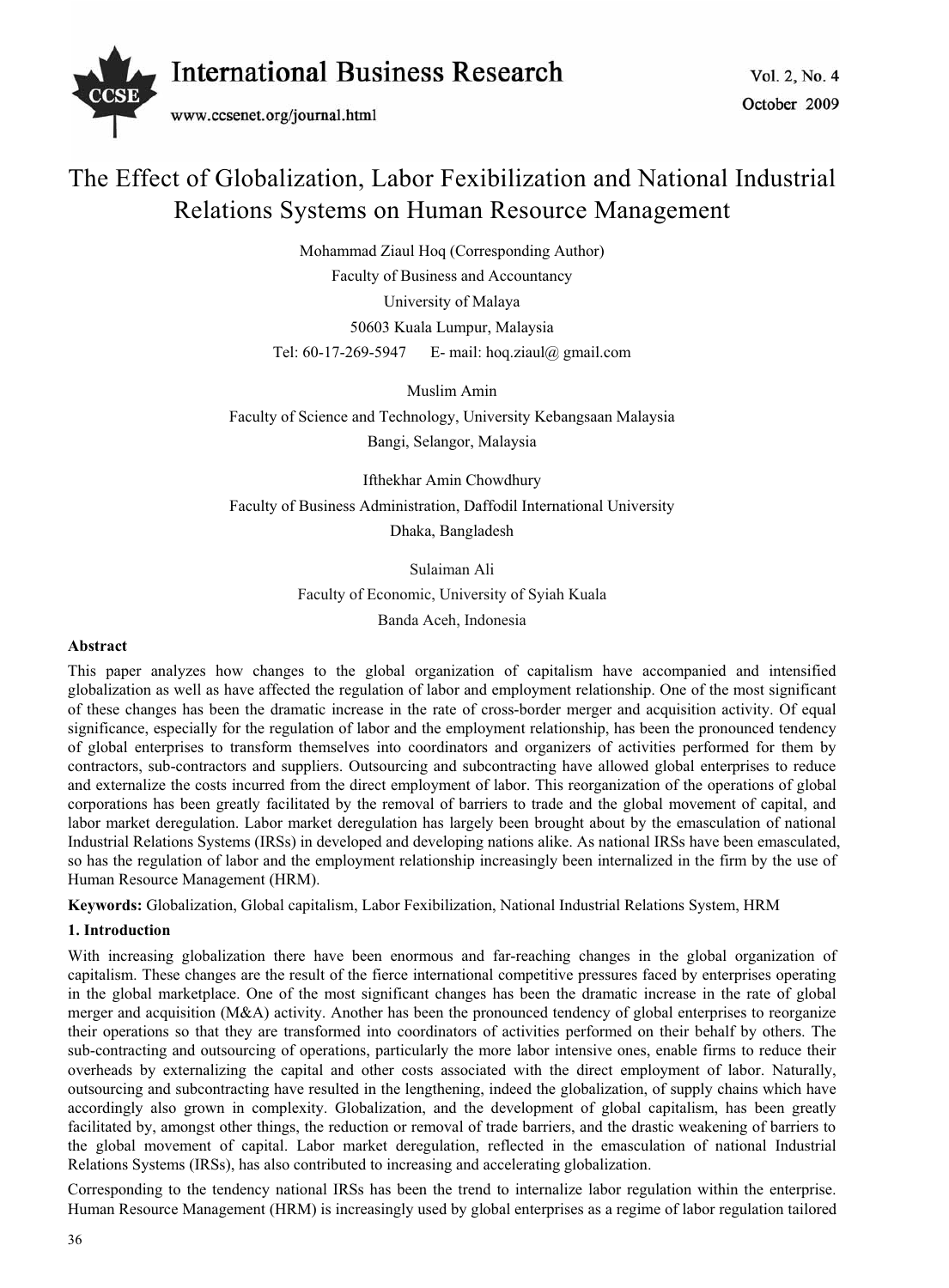

# The Effect of Globalization, Labor Fexibilization and National Industrial Relations Systems on Human Resource Management

Mohammad Ziaul Hoq (Corresponding Author) Faculty of Business and Accountancy University of Malaya 50603 Kuala Lumpur, Malaysia Tel: 60-17-269-5947 E- mail: hoq.ziaul@ gmail.com

Muslim Amin Faculty of Science and Technology, University Kebangsaan Malaysia Bangi, Selangor, Malaysia

Ifthekhar Amin Chowdhury Faculty of Business Administration, Daffodil International University Dhaka, Bangladesh

> Sulaiman Ali Faculty of Economic, University of Syiah Kuala Banda Aceh, Indonesia

# **Abstract**

This paper analyzes how changes to the global organization of capitalism have accompanied and intensified globalization as well as have affected the regulation of labor and employment relationship. One of the most significant of these changes has been the dramatic increase in the rate of cross-border merger and acquisition activity. Of equal significance, especially for the regulation of labor and the employment relationship, has been the pronounced tendency of global enterprises to transform themselves into coordinators and organizers of activities performed for them by contractors, sub-contractors and suppliers. Outsourcing and subcontracting have allowed global enterprises to reduce and externalize the costs incurred from the direct employment of labor. This reorganization of the operations of global corporations has been greatly facilitated by the removal of barriers to trade and the global movement of capital, and labor market deregulation. Labor market deregulation has largely been brought about by the emasculation of national Industrial Relations Systems (IRSs) in developed and developing nations alike. As national IRSs have been emasculated, so has the regulation of labor and the employment relationship increasingly been internalized in the firm by the use of Human Resource Management (HRM).

**Keywords:** Globalization, Global capitalism, Labor Fexibilization, National Industrial Relations System, HRM

# **1. Introduction**

With increasing globalization there have been enormous and far-reaching changes in the global organization of capitalism. These changes are the result of the fierce international competitive pressures faced by enterprises operating in the global marketplace. One of the most significant changes has been the dramatic increase in the rate of global merger and acquisition (M&A) activity. Another has been the pronounced tendency of global enterprises to reorganize their operations so that they are transformed into coordinators of activities performed on their behalf by others. The sub-contracting and outsourcing of operations, particularly the more labor intensive ones, enable firms to reduce their overheads by externalizing the capital and other costs associated with the direct employment of labor. Naturally, outsourcing and subcontracting have resulted in the lengthening, indeed the globalization, of supply chains which have accordingly also grown in complexity. Globalization, and the development of global capitalism, has been greatly facilitated by, amongst other things, the reduction or removal of trade barriers, and the drastic weakening of barriers to the global movement of capital. Labor market deregulation, reflected in the emasculation of national Industrial Relations Systems (IRSs), has also contributed to increasing and accelerating globalization.

Corresponding to the tendency national IRSs has been the trend to internalize labor regulation within the enterprise. Human Resource Management (HRM) is increasingly used by global enterprises as a regime of labor regulation tailored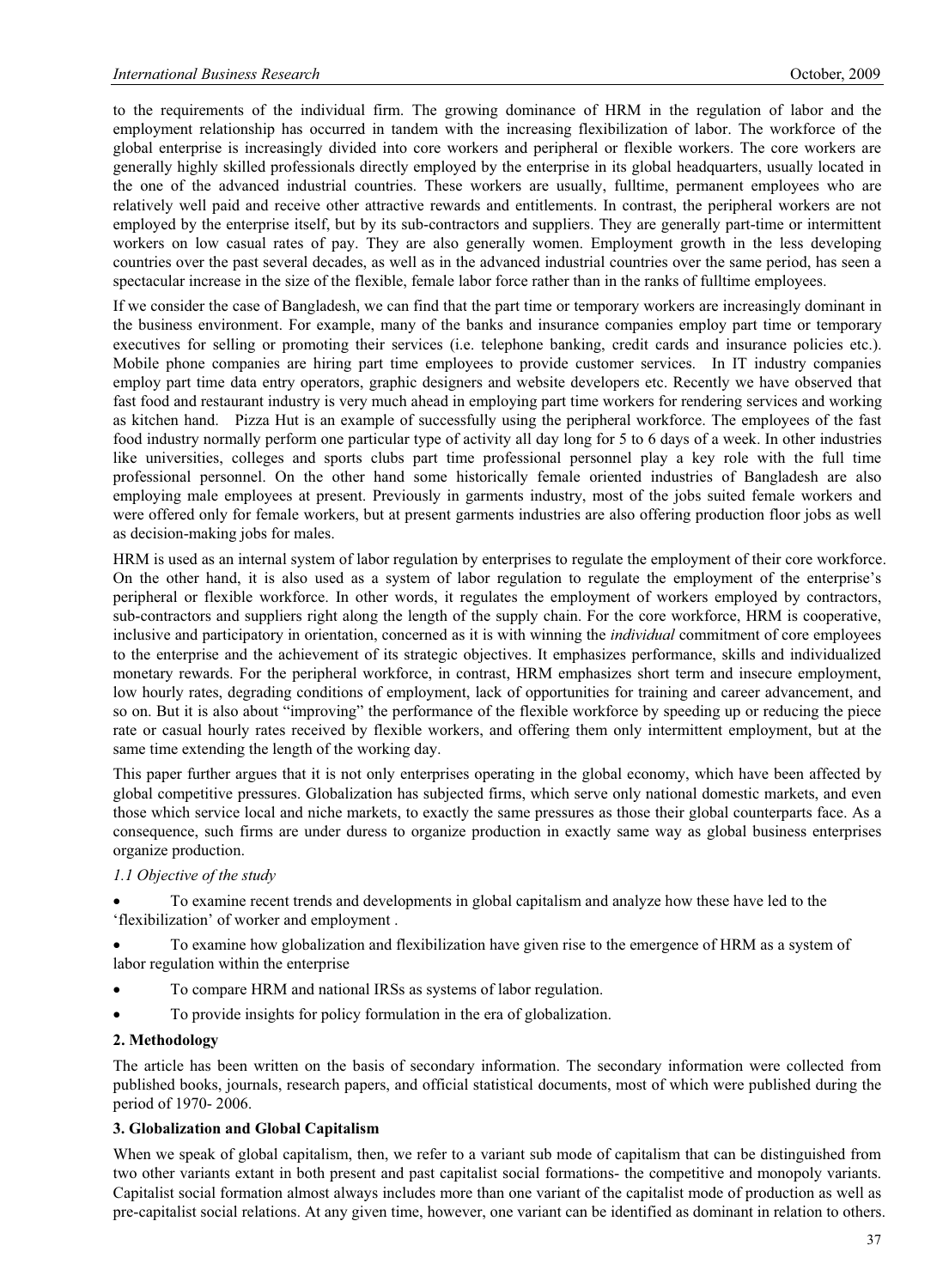to the requirements of the individual firm. The growing dominance of HRM in the regulation of labor and the employment relationship has occurred in tandem with the increasing flexibilization of labor. The workforce of the global enterprise is increasingly divided into core workers and peripheral or flexible workers. The core workers are generally highly skilled professionals directly employed by the enterprise in its global headquarters, usually located in the one of the advanced industrial countries. These workers are usually, fulltime, permanent employees who are relatively well paid and receive other attractive rewards and entitlements. In contrast, the peripheral workers are not employed by the enterprise itself, but by its sub-contractors and suppliers. They are generally part-time or intermittent workers on low casual rates of pay. They are also generally women. Employment growth in the less developing countries over the past several decades, as well as in the advanced industrial countries over the same period, has seen a spectacular increase in the size of the flexible, female labor force rather than in the ranks of fulltime employees.

If we consider the case of Bangladesh, we can find that the part time or temporary workers are increasingly dominant in the business environment. For example, many of the banks and insurance companies employ part time or temporary executives for selling or promoting their services (i.e. telephone banking, credit cards and insurance policies etc.). Mobile phone companies are hiring part time employees to provide customer services. In IT industry companies employ part time data entry operators, graphic designers and website developers etc. Recently we have observed that fast food and restaurant industry is very much ahead in employing part time workers for rendering services and working as kitchen hand. Pizza Hut is an example of successfully using the peripheral workforce. The employees of the fast food industry normally perform one particular type of activity all day long for 5 to 6 days of a week. In other industries like universities, colleges and sports clubs part time professional personnel play a key role with the full time professional personnel. On the other hand some historically female oriented industries of Bangladesh are also employing male employees at present. Previously in garments industry, most of the jobs suited female workers and were offered only for female workers, but at present garments industries are also offering production floor jobs as well as decision-making jobs for males.

HRM is used as an internal system of labor regulation by enterprises to regulate the employment of their core workforce. On the other hand, it is also used as a system of labor regulation to regulate the employment of the enterprise's peripheral or flexible workforce. In other words, it regulates the employment of workers employed by contractors, sub-contractors and suppliers right along the length of the supply chain. For the core workforce, HRM is cooperative, inclusive and participatory in orientation, concerned as it is with winning the *individual* commitment of core employees to the enterprise and the achievement of its strategic objectives. It emphasizes performance, skills and individualized monetary rewards. For the peripheral workforce, in contrast, HRM emphasizes short term and insecure employment, low hourly rates, degrading conditions of employment, lack of opportunities for training and career advancement, and so on. But it is also about "improving" the performance of the flexible workforce by speeding up or reducing the piece rate or casual hourly rates received by flexible workers, and offering them only intermittent employment, but at the same time extending the length of the working day.

This paper further argues that it is not only enterprises operating in the global economy, which have been affected by global competitive pressures. Globalization has subjected firms, which serve only national domestic markets, and even those which service local and niche markets, to exactly the same pressures as those their global counterparts face. As a consequence, such firms are under duress to organize production in exactly same way as global business enterprises organize production.

# *1.1 Objective of the study*

To examine recent trends and developments in global capitalism and analyze how these have led to the 'flexibilization' of worker and employment .

To examine how globalization and flexibilization have given rise to the emergence of HRM as a system of labor regulation within the enterprise

- To compare HRM and national IRSs as systems of labor regulation.
- To provide insights for policy formulation in the era of globalization.

# **2. Methodology**

The article has been written on the basis of secondary information. The secondary information were collected from published books, journals, research papers, and official statistical documents, most of which were published during the period of 1970- 2006.

# **3. Globalization and Global Capitalism**

When we speak of global capitalism, then, we refer to a variant sub mode of capitalism that can be distinguished from two other variants extant in both present and past capitalist social formations- the competitive and monopoly variants. Capitalist social formation almost always includes more than one variant of the capitalist mode of production as well as pre-capitalist social relations. At any given time, however, one variant can be identified as dominant in relation to others.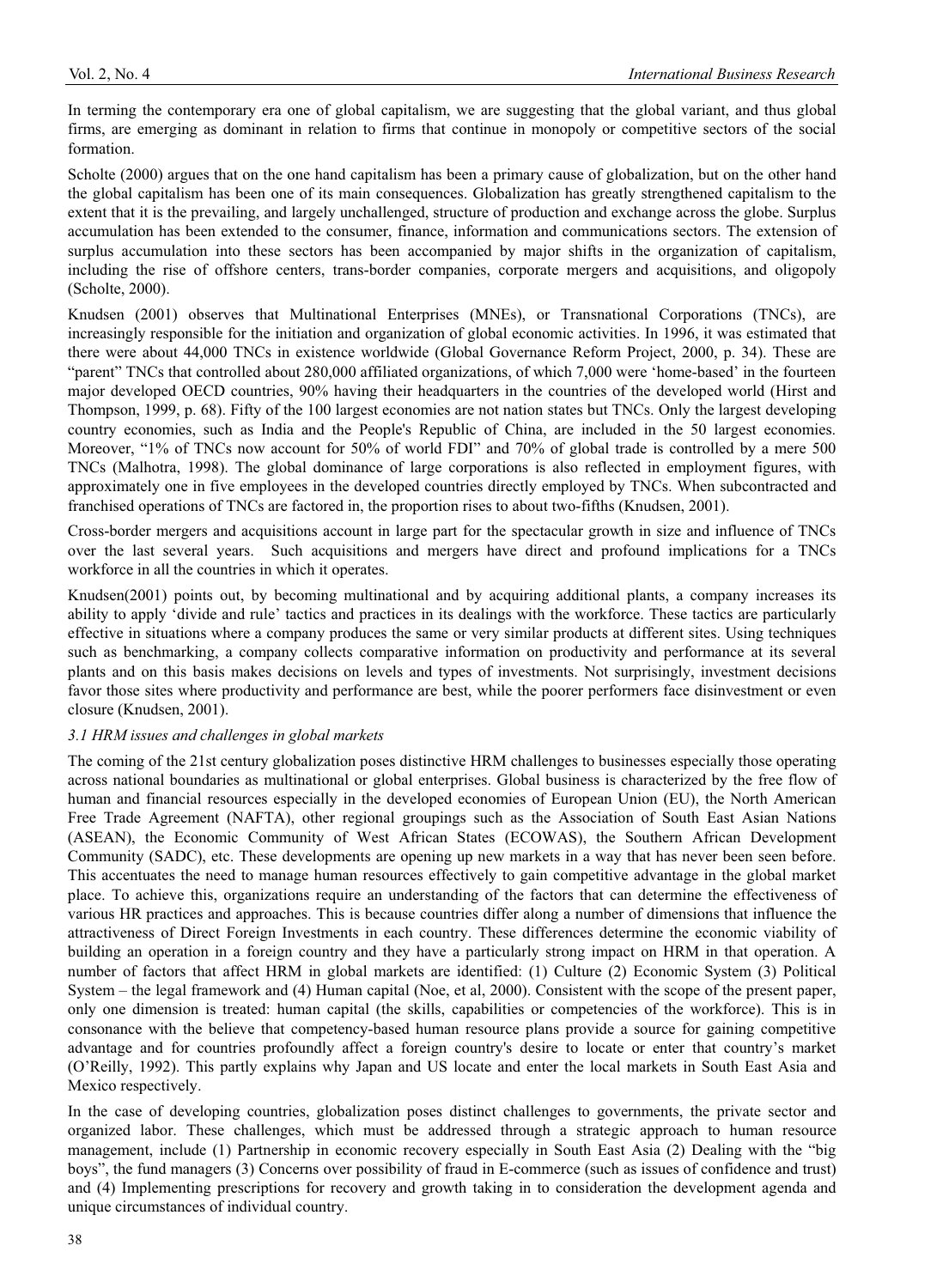In terming the contemporary era one of global capitalism, we are suggesting that the global variant, and thus global firms, are emerging as dominant in relation to firms that continue in monopoly or competitive sectors of the social formation.

Scholte (2000) argues that on the one hand capitalism has been a primary cause of globalization, but on the other hand the global capitalism has been one of its main consequences. Globalization has greatly strengthened capitalism to the extent that it is the prevailing, and largely unchallenged, structure of production and exchange across the globe. Surplus accumulation has been extended to the consumer, finance, information and communications sectors. The extension of surplus accumulation into these sectors has been accompanied by major shifts in the organization of capitalism, including the rise of offshore centers, trans-border companies, corporate mergers and acquisitions, and oligopoly (Scholte, 2000).

Knudsen (2001) observes that Multinational Enterprises (MNEs), or Transnational Corporations (TNCs), are increasingly responsible for the initiation and organization of global economic activities. In 1996, it was estimated that there were about 44,000 TNCs in existence worldwide (Global Governance Reform Project, 2000, p. 34). These are "parent" TNCs that controlled about 280,000 affiliated organizations, of which 7,000 were 'home-based' in the fourteen major developed OECD countries, 90% having their headquarters in the countries of the developed world (Hirst and Thompson, 1999, p. 68). Fifty of the 100 largest economies are not nation states but TNCs. Only the largest developing country economies, such as India and the People's Republic of China, are included in the 50 largest economies. Moreover, "1% of TNCs now account for 50% of world FDI" and 70% of global trade is controlled by a mere 500 TNCs (Malhotra, 1998). The global dominance of large corporations is also reflected in employment figures, with approximately one in five employees in the developed countries directly employed by TNCs. When subcontracted and franchised operations of TNCs are factored in, the proportion rises to about two-fifths (Knudsen, 2001).

Cross-border mergers and acquisitions account in large part for the spectacular growth in size and influence of TNCs over the last several years. Such acquisitions and mergers have direct and profound implications for a TNCs workforce in all the countries in which it operates.

Knudsen(2001) points out, by becoming multinational and by acquiring additional plants, a company increases its ability to apply 'divide and rule' tactics and practices in its dealings with the workforce. These tactics are particularly effective in situations where a company produces the same or very similar products at different sites. Using techniques such as benchmarking, a company collects comparative information on productivity and performance at its several plants and on this basis makes decisions on levels and types of investments. Not surprisingly, investment decisions favor those sites where productivity and performance are best, while the poorer performers face disinvestment or even closure (Knudsen, 2001).

# *3.1 HRM issues and challenges in global markets*

The coming of the 21st century globalization poses distinctive HRM challenges to businesses especially those operating across national boundaries as multinational or global enterprises. Global business is characterized by the free flow of human and financial resources especially in the developed economies of European Union (EU), the North American Free Trade Agreement (NAFTA), other regional groupings such as the Association of South East Asian Nations (ASEAN), the Economic Community of West African States (ECOWAS), the Southern African Development Community (SADC), etc. These developments are opening up new markets in a way that has never been seen before. This accentuates the need to manage human resources effectively to gain competitive advantage in the global market place. To achieve this, organizations require an understanding of the factors that can determine the effectiveness of various HR practices and approaches. This is because countries differ along a number of dimensions that influence the attractiveness of Direct Foreign Investments in each country. These differences determine the economic viability of building an operation in a foreign country and they have a particularly strong impact on HRM in that operation. A number of factors that affect HRM in global markets are identified: (1) Culture (2) Economic System (3) Political System – the legal framework and (4) Human capital (Noe, et al, 2000). Consistent with the scope of the present paper, only one dimension is treated: human capital (the skills, capabilities or competencies of the workforce). This is in consonance with the believe that competency-based human resource plans provide a source for gaining competitive advantage and for countries profoundly affect a foreign country's desire to locate or enter that country's market (O'Reilly, 1992). This partly explains why Japan and US locate and enter the local markets in South East Asia and Mexico respectively.

In the case of developing countries, globalization poses distinct challenges to governments, the private sector and organized labor. These challenges, which must be addressed through a strategic approach to human resource management, include (1) Partnership in economic recovery especially in South East Asia (2) Dealing with the "big boys", the fund managers (3) Concerns over possibility of fraud in E-commerce (such as issues of confidence and trust) and (4) Implementing prescriptions for recovery and growth taking in to consideration the development agenda and unique circumstances of individual country.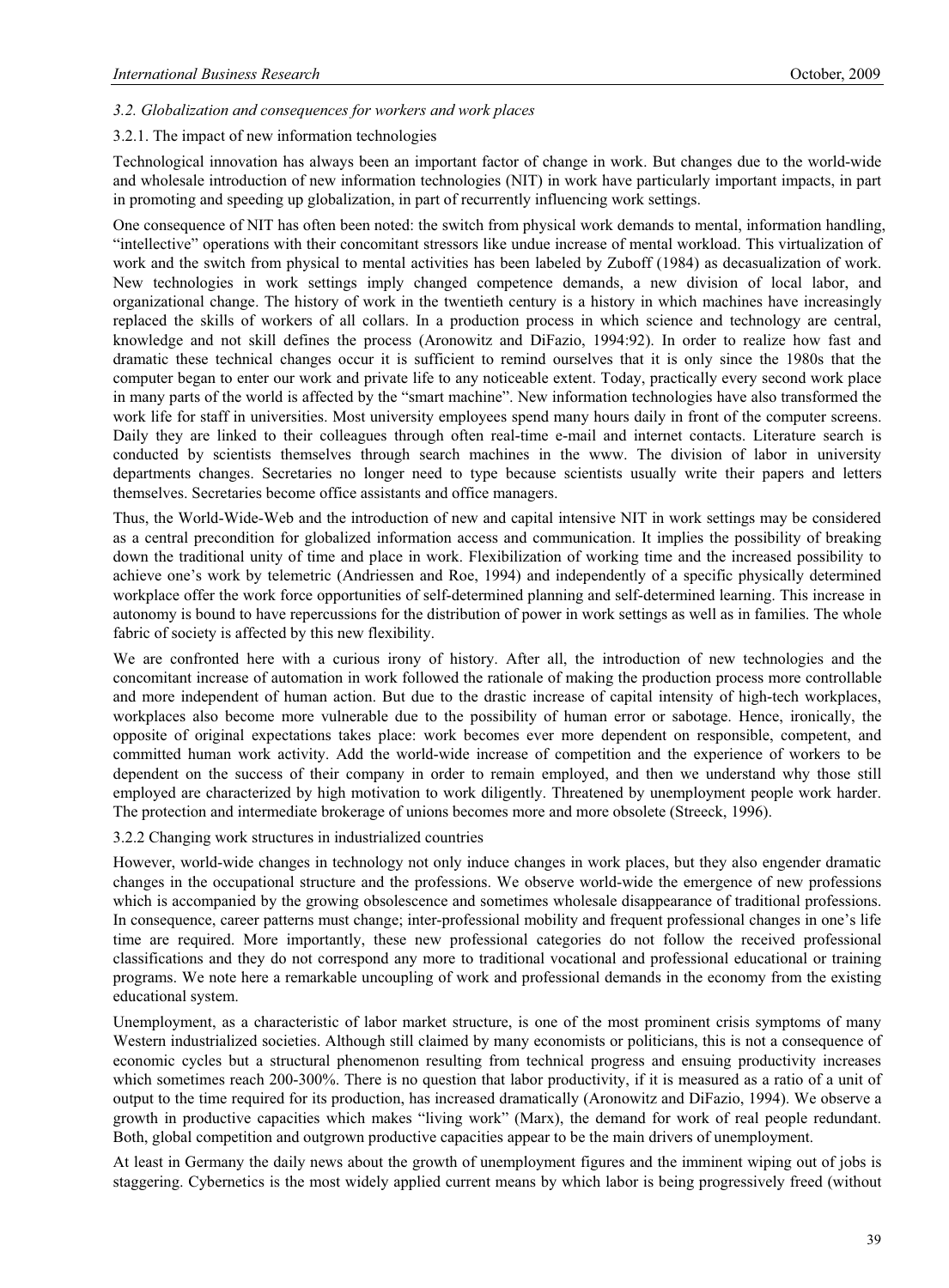### *3.2. Globalization and consequences for workers and work places*

#### 3.2.1. The impact of new information technologies

Technological innovation has always been an important factor of change in work. But changes due to the world-wide and wholesale introduction of new information technologies (NIT) in work have particularly important impacts, in part in promoting and speeding up globalization, in part of recurrently influencing work settings.

One consequence of NIT has often been noted: the switch from physical work demands to mental, information handling, "intellective" operations with their concomitant stressors like undue increase of mental workload. This virtualization of work and the switch from physical to mental activities has been labeled by Zuboff (1984) as decasualization of work. New technologies in work settings imply changed competence demands, a new division of local labor, and organizational change. The history of work in the twentieth century is a history in which machines have increasingly replaced the skills of workers of all collars. In a production process in which science and technology are central, knowledge and not skill defines the process (Aronowitz and DiFazio, 1994:92). In order to realize how fast and dramatic these technical changes occur it is sufficient to remind ourselves that it is only since the 1980s that the computer began to enter our work and private life to any noticeable extent. Today, practically every second work place in many parts of the world is affected by the "smart machine". New information technologies have also transformed the work life for staff in universities. Most university employees spend many hours daily in front of the computer screens. Daily they are linked to their colleagues through often real-time e-mail and internet contacts. Literature search is conducted by scientists themselves through search machines in the www. The division of labor in university departments changes. Secretaries no longer need to type because scientists usually write their papers and letters themselves. Secretaries become office assistants and office managers.

Thus, the World-Wide-Web and the introduction of new and capital intensive NIT in work settings may be considered as a central precondition for globalized information access and communication. It implies the possibility of breaking down the traditional unity of time and place in work. Flexibilization of working time and the increased possibility to achieve one's work by telemetric (Andriessen and Roe, 1994) and independently of a specific physically determined workplace offer the work force opportunities of self-determined planning and self-determined learning. This increase in autonomy is bound to have repercussions for the distribution of power in work settings as well as in families. The whole fabric of society is affected by this new flexibility.

We are confronted here with a curious irony of history. After all, the introduction of new technologies and the concomitant increase of automation in work followed the rationale of making the production process more controllable and more independent of human action. But due to the drastic increase of capital intensity of high-tech workplaces, workplaces also become more vulnerable due to the possibility of human error or sabotage. Hence, ironically, the opposite of original expectations takes place: work becomes ever more dependent on responsible, competent, and committed human work activity. Add the world-wide increase of competition and the experience of workers to be dependent on the success of their company in order to remain employed, and then we understand why those still employed are characterized by high motivation to work diligently. Threatened by unemployment people work harder. The protection and intermediate brokerage of unions becomes more and more obsolete (Streeck, 1996).

3.2.2 Changing work structures in industrialized countries

However, world-wide changes in technology not only induce changes in work places, but they also engender dramatic changes in the occupational structure and the professions. We observe world-wide the emergence of new professions which is accompanied by the growing obsolescence and sometimes wholesale disappearance of traditional professions. In consequence, career patterns must change; inter-professional mobility and frequent professional changes in one's life time are required. More importantly, these new professional categories do not follow the received professional classifications and they do not correspond any more to traditional vocational and professional educational or training programs. We note here a remarkable uncoupling of work and professional demands in the economy from the existing educational system.

Unemployment, as a characteristic of labor market structure, is one of the most prominent crisis symptoms of many Western industrialized societies. Although still claimed by many economists or politicians, this is not a consequence of economic cycles but a structural phenomenon resulting from technical progress and ensuing productivity increases which sometimes reach 200-300%. There is no question that labor productivity, if it is measured as a ratio of a unit of output to the time required for its production, has increased dramatically (Aronowitz and DiFazio, 1994). We observe a growth in productive capacities which makes "living work" (Marx), the demand for work of real people redundant. Both, global competition and outgrown productive capacities appear to be the main drivers of unemployment.

At least in Germany the daily news about the growth of unemployment figures and the imminent wiping out of jobs is staggering. Cybernetics is the most widely applied current means by which labor is being progressively freed (without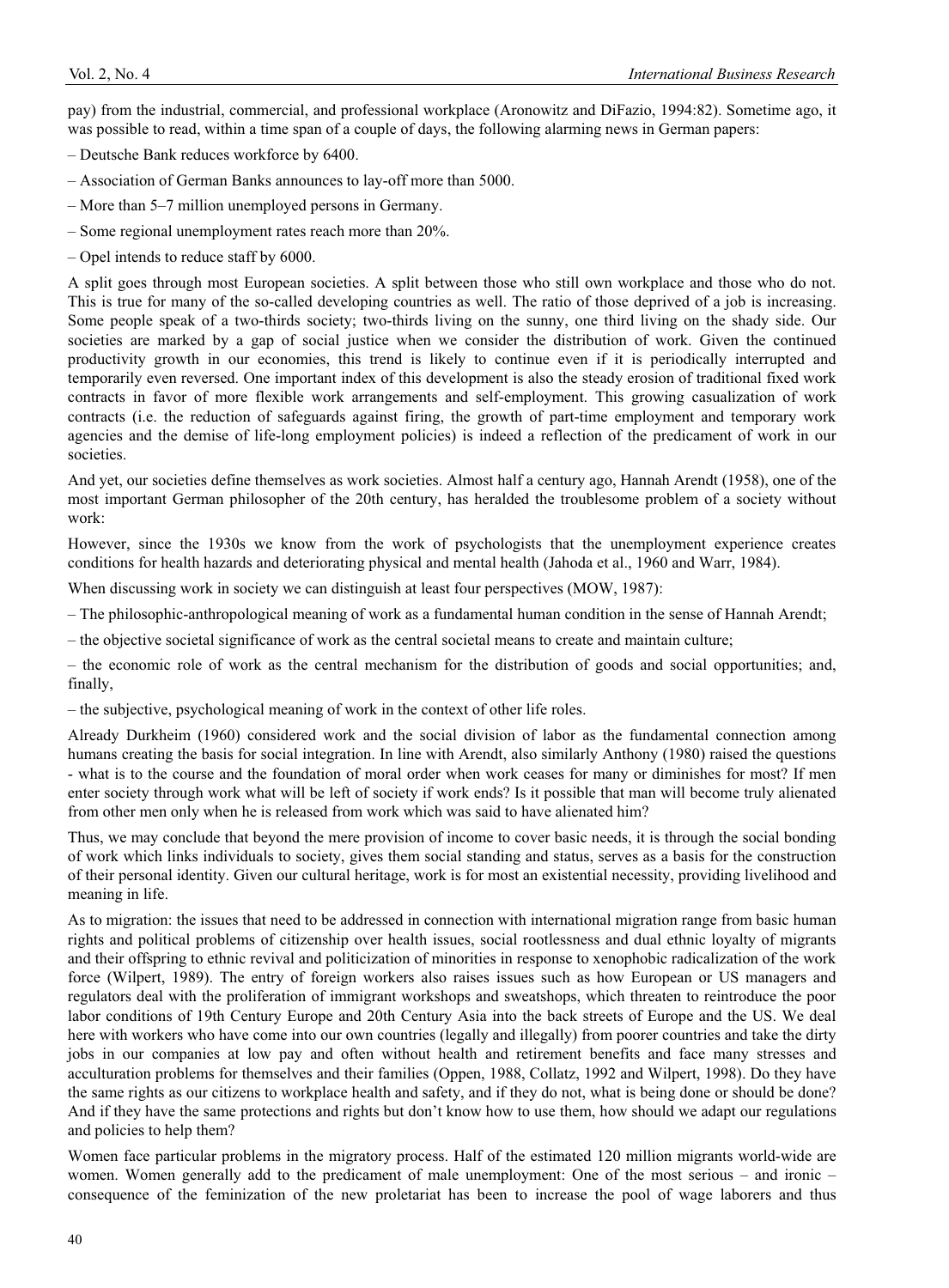pay) from the industrial, commercial, and professional workplace (Aronowitz and DiFazio, 1994:82). Sometime ago, it was possible to read, within a time span of a couple of days, the following alarming news in German papers:

- Deutsche Bank reduces workforce by 6400.
- Association of German Banks announces to lay-off more than 5000.
- More than 5–7 million unemployed persons in Germany.
- Some regional unemployment rates reach more than 20%.
- Opel intends to reduce staff by 6000.

A split goes through most European societies. A split between those who still own workplace and those who do not. This is true for many of the so-called developing countries as well. The ratio of those deprived of a job is increasing. Some people speak of a two-thirds society; two-thirds living on the sunny, one third living on the shady side. Our societies are marked by a gap of social justice when we consider the distribution of work. Given the continued productivity growth in our economies, this trend is likely to continue even if it is periodically interrupted and temporarily even reversed. One important index of this development is also the steady erosion of traditional fixed work contracts in favor of more flexible work arrangements and self-employment. This growing casualization of work contracts (i.e. the reduction of safeguards against firing, the growth of part-time employment and temporary work agencies and the demise of life-long employment policies) is indeed a reflection of the predicament of work in our societies.

And yet, our societies define themselves as work societies. Almost half a century ago, Hannah Arendt (1958), one of the most important German philosopher of the 20th century, has heralded the troublesome problem of a society without work:

However, since the 1930s we know from the work of psychologists that the unemployment experience creates conditions for health hazards and deteriorating physical and mental health (Jahoda et al., 1960 and Warr, 1984).

When discussing work in society we can distinguish at least four perspectives (MOW, 1987):

– The philosophic-anthropological meaning of work as a fundamental human condition in the sense of Hannah Arendt;

– the objective societal significance of work as the central societal means to create and maintain culture;

– the economic role of work as the central mechanism for the distribution of goods and social opportunities; and, finally,

– the subjective, psychological meaning of work in the context of other life roles.

Already Durkheim (1960) considered work and the social division of labor as the fundamental connection among humans creating the basis for social integration. In line with Arendt, also similarly Anthony (1980) raised the questions - what is to the course and the foundation of moral order when work ceases for many or diminishes for most? If men enter society through work what will be left of society if work ends? Is it possible that man will become truly alienated from other men only when he is released from work which was said to have alienated him?

Thus, we may conclude that beyond the mere provision of income to cover basic needs, it is through the social bonding of work which links individuals to society, gives them social standing and status, serves as a basis for the construction of their personal identity. Given our cultural heritage, work is for most an existential necessity, providing livelihood and meaning in life.

As to migration: the issues that need to be addressed in connection with international migration range from basic human rights and political problems of citizenship over health issues, social rootlessness and dual ethnic loyalty of migrants and their offspring to ethnic revival and politicization of minorities in response to xenophobic radicalization of the work force (Wilpert, 1989). The entry of foreign workers also raises issues such as how European or US managers and regulators deal with the proliferation of immigrant workshops and sweatshops, which threaten to reintroduce the poor labor conditions of 19th Century Europe and 20th Century Asia into the back streets of Europe and the US. We deal here with workers who have come into our own countries (legally and illegally) from poorer countries and take the dirty jobs in our companies at low pay and often without health and retirement benefits and face many stresses and acculturation problems for themselves and their families (Oppen, 1988, Collatz, 1992 and Wilpert, 1998). Do they have the same rights as our citizens to workplace health and safety, and if they do not, what is being done or should be done? And if they have the same protections and rights but don't know how to use them, how should we adapt our regulations and policies to help them?

Women face particular problems in the migratory process. Half of the estimated 120 million migrants world-wide are women. Women generally add to the predicament of male unemployment: One of the most serious – and ironic – consequence of the feminization of the new proletariat has been to increase the pool of wage laborers and thus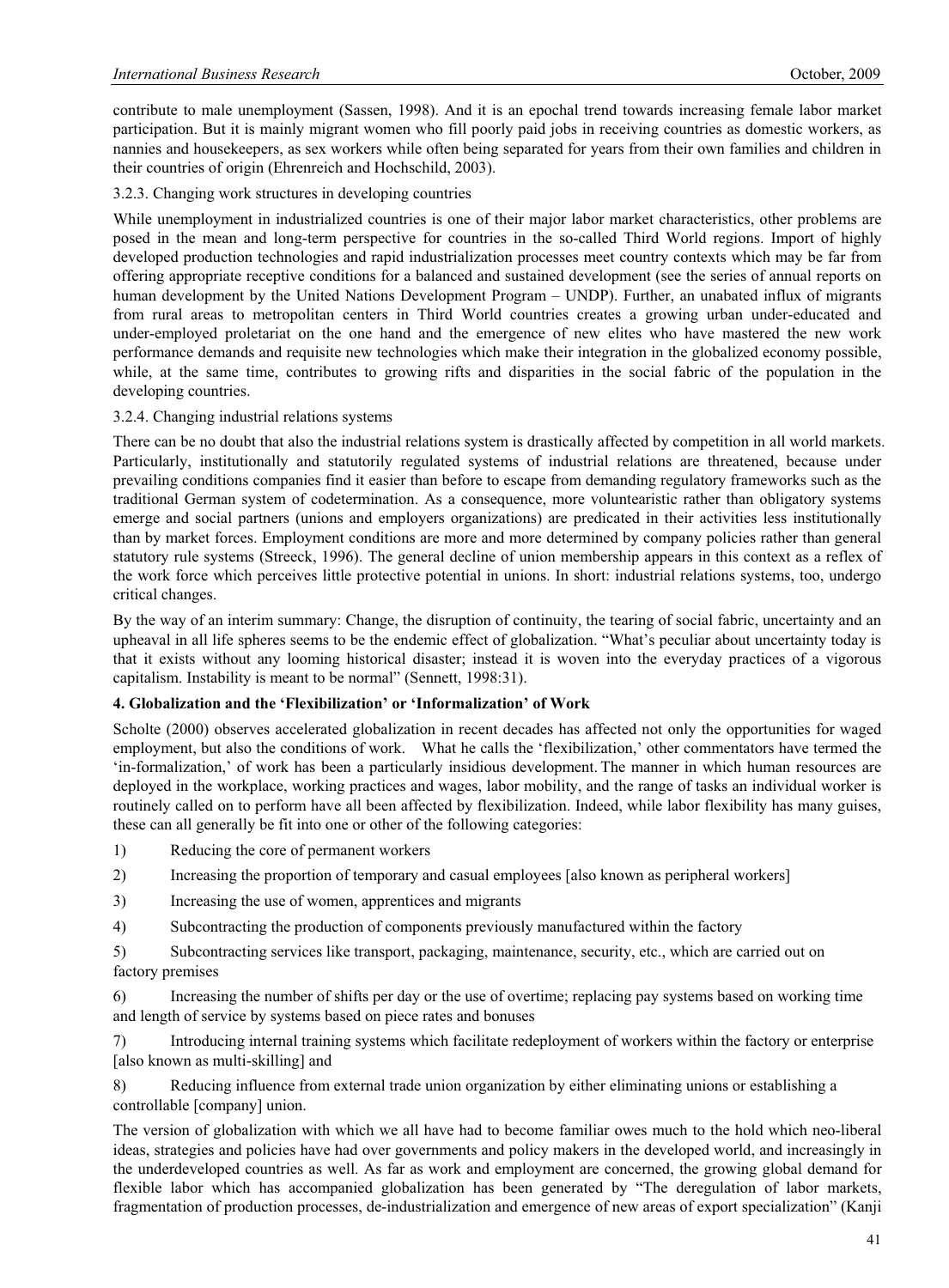contribute to male unemployment (Sassen, 1998). And it is an epochal trend towards increasing female labor market participation. But it is mainly migrant women who fill poorly paid jobs in receiving countries as domestic workers, as nannies and housekeepers, as sex workers while often being separated for years from their own families and children in their countries of origin (Ehrenreich and Hochschild, 2003).

3.2.3. Changing work structures in developing countries

While unemployment in industrialized countries is one of their major labor market characteristics, other problems are posed in the mean and long-term perspective for countries in the so-called Third World regions. Import of highly developed production technologies and rapid industrialization processes meet country contexts which may be far from offering appropriate receptive conditions for a balanced and sustained development (see the series of annual reports on human development by the United Nations Development Program – UNDP). Further, an unabated influx of migrants from rural areas to metropolitan centers in Third World countries creates a growing urban under-educated and under-employed proletariat on the one hand and the emergence of new elites who have mastered the new work performance demands and requisite new technologies which make their integration in the globalized economy possible, while, at the same time, contributes to growing rifts and disparities in the social fabric of the population in the developing countries.

# 3.2.4. Changing industrial relations systems

There can be no doubt that also the industrial relations system is drastically affected by competition in all world markets. Particularly, institutionally and statutorily regulated systems of industrial relations are threatened, because under prevailing conditions companies find it easier than before to escape from demanding regulatory frameworks such as the traditional German system of codetermination. As a consequence, more voluntearistic rather than obligatory systems emerge and social partners (unions and employers organizations) are predicated in their activities less institutionally than by market forces. Employment conditions are more and more determined by company policies rather than general statutory rule systems (Streeck, 1996). The general decline of union membership appears in this context as a reflex of the work force which perceives little protective potential in unions. In short: industrial relations systems, too, undergo critical changes.

By the way of an interim summary: Change, the disruption of continuity, the tearing of social fabric, uncertainty and an upheaval in all life spheres seems to be the endemic effect of globalization. "What's peculiar about uncertainty today is that it exists without any looming historical disaster; instead it is woven into the everyday practices of a vigorous capitalism. Instability is meant to be normal" (Sennett, 1998:31).

# **4. Globalization and the 'Flexibilization' or 'Informalization' of Work**

Scholte (2000) observes accelerated globalization in recent decades has affected not only the opportunities for waged employment, but also the conditions of work. What he calls the 'flexibilization,' other commentators have termed the 'in-formalization,' of work has been a particularly insidious development. The manner in which human resources are deployed in the workplace, working practices and wages, labor mobility, and the range of tasks an individual worker is routinely called on to perform have all been affected by flexibilization. Indeed, while labor flexibility has many guises, these can all generally be fit into one or other of the following categories:

- 1) Reducing the core of permanent workers
- 2) Increasing the proportion of temporary and casual employees [also known as peripheral workers]
- 3) Increasing the use of women, apprentices and migrants
- 4) Subcontracting the production of components previously manufactured within the factory

5) Subcontracting services like transport, packaging, maintenance, security, etc., which are carried out on factory premises

6) Increasing the number of shifts per day or the use of overtime; replacing pay systems based on working time and length of service by systems based on piece rates and bonuses

7) Introducing internal training systems which facilitate redeployment of workers within the factory or enterprise [also known as multi-skilling] and

8) Reducing influence from external trade union organization by either eliminating unions or establishing a controllable [company] union.

The version of globalization with which we all have had to become familiar owes much to the hold which neo-liberal ideas, strategies and policies have had over governments and policy makers in the developed world, and increasingly in the underdeveloped countries as well. As far as work and employment are concerned, the growing global demand for flexible labor which has accompanied globalization has been generated by "The deregulation of labor markets, fragmentation of production processes, de-industrialization and emergence of new areas of export specialization" (Kanji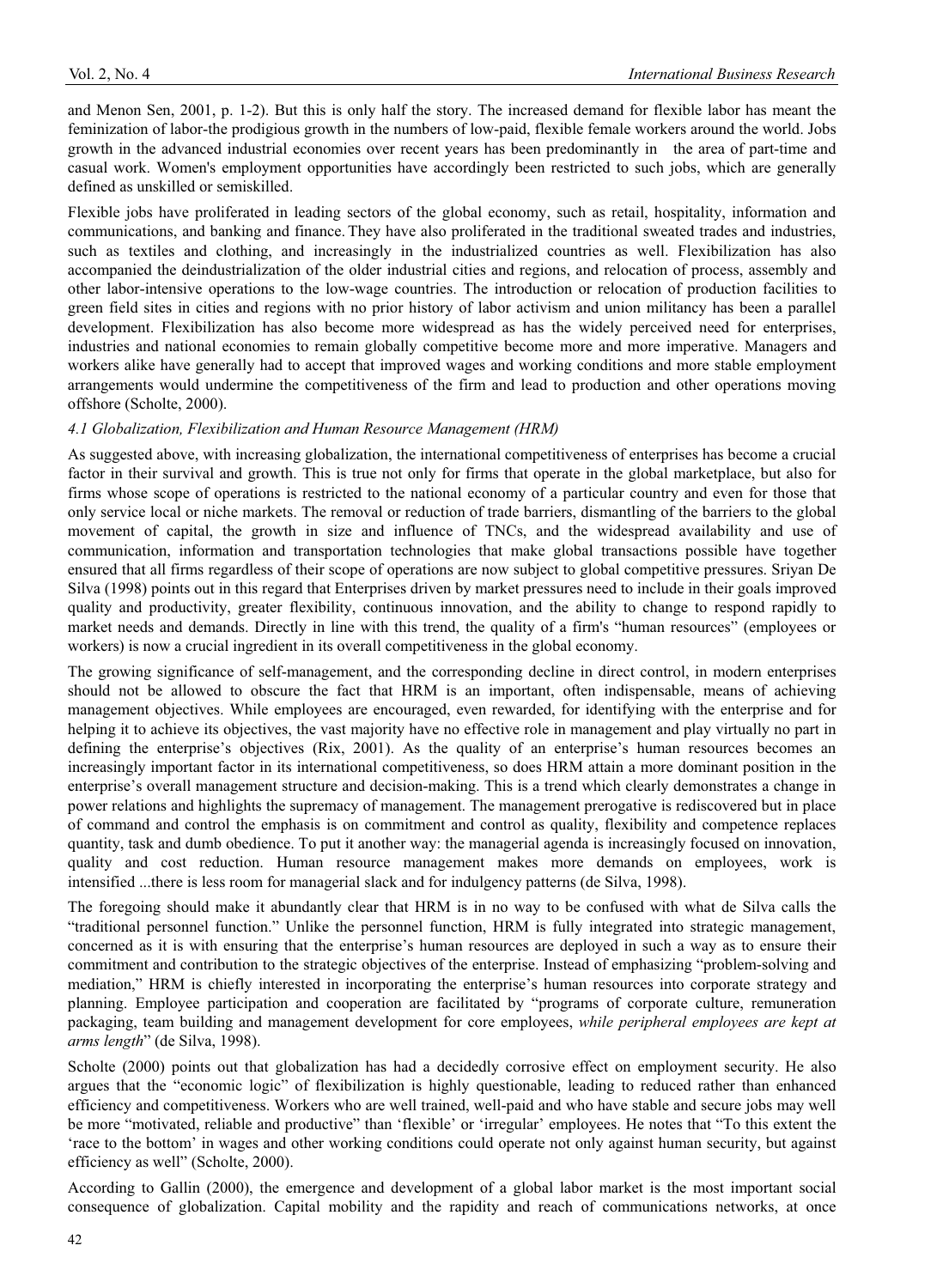and Menon Sen, 2001, p. 1-2). But this is only half the story. The increased demand for flexible labor has meant the feminization of labor-the prodigious growth in the numbers of low-paid, flexible female workers around the world. Jobs growth in the advanced industrial economies over recent years has been predominantly in the area of part-time and casual work. Women's employment opportunities have accordingly been restricted to such jobs, which are generally defined as unskilled or semiskilled.

Flexible jobs have proliferated in leading sectors of the global economy, such as retail, hospitality, information and communications, and banking and finance. They have also proliferated in the traditional sweated trades and industries, such as textiles and clothing, and increasingly in the industrialized countries as well. Flexibilization has also accompanied the deindustrialization of the older industrial cities and regions, and relocation of process, assembly and other labor-intensive operations to the low-wage countries. The introduction or relocation of production facilities to green field sites in cities and regions with no prior history of labor activism and union militancy has been a parallel development. Flexibilization has also become more widespread as has the widely perceived need for enterprises, industries and national economies to remain globally competitive become more and more imperative. Managers and workers alike have generally had to accept that improved wages and working conditions and more stable employment arrangements would undermine the competitiveness of the firm and lead to production and other operations moving offshore (Scholte, 2000).

# *4.1 Globalization, Flexibilization and Human Resource Management (HRM)*

As suggested above, with increasing globalization, the international competitiveness of enterprises has become a crucial factor in their survival and growth. This is true not only for firms that operate in the global marketplace, but also for firms whose scope of operations is restricted to the national economy of a particular country and even for those that only service local or niche markets. The removal or reduction of trade barriers, dismantling of the barriers to the global movement of capital, the growth in size and influence of TNCs, and the widespread availability and use of communication, information and transportation technologies that make global transactions possible have together ensured that all firms regardless of their scope of operations are now subject to global competitive pressures. Sriyan De Silva (1998) points out in this regard that Enterprises driven by market pressures need to include in their goals improved quality and productivity, greater flexibility, continuous innovation, and the ability to change to respond rapidly to market needs and demands. Directly in line with this trend, the quality of a firm's "human resources" (employees or workers) is now a crucial ingredient in its overall competitiveness in the global economy.

The growing significance of self-management, and the corresponding decline in direct control, in modern enterprises should not be allowed to obscure the fact that HRM is an important, often indispensable, means of achieving management objectives. While employees are encouraged, even rewarded, for identifying with the enterprise and for helping it to achieve its objectives, the vast majority have no effective role in management and play virtually no part in defining the enterprise's objectives (Rix, 2001). As the quality of an enterprise's human resources becomes an increasingly important factor in its international competitiveness, so does HRM attain a more dominant position in the enterprise's overall management structure and decision-making. This is a trend which clearly demonstrates a change in power relations and highlights the supremacy of management. The management prerogative is rediscovered but in place of command and control the emphasis is on commitment and control as quality, flexibility and competence replaces quantity, task and dumb obedience. To put it another way: the managerial agenda is increasingly focused on innovation, quality and cost reduction. Human resource management makes more demands on employees, work is intensified ...there is less room for managerial slack and for indulgency patterns (de Silva, 1998).

The foregoing should make it abundantly clear that HRM is in no way to be confused with what de Silva calls the "traditional personnel function." Unlike the personnel function, HRM is fully integrated into strategic management, concerned as it is with ensuring that the enterprise's human resources are deployed in such a way as to ensure their commitment and contribution to the strategic objectives of the enterprise. Instead of emphasizing "problem-solving and mediation," HRM is chiefly interested in incorporating the enterprise's human resources into corporate strategy and planning. Employee participation and cooperation are facilitated by "programs of corporate culture, remuneration packaging, team building and management development for core employees, *while peripheral employees are kept at arms length*" (de Silva, 1998).

Scholte (2000) points out that globalization has had a decidedly corrosive effect on employment security. He also argues that the "economic logic" of flexibilization is highly questionable, leading to reduced rather than enhanced efficiency and competitiveness. Workers who are well trained, well-paid and who have stable and secure jobs may well be more "motivated, reliable and productive" than 'flexible' or 'irregular' employees. He notes that "To this extent the 'race to the bottom' in wages and other working conditions could operate not only against human security, but against efficiency as well" (Scholte, 2000).

According to Gallin (2000), the emergence and development of a global labor market is the most important social consequence of globalization. Capital mobility and the rapidity and reach of communications networks, at once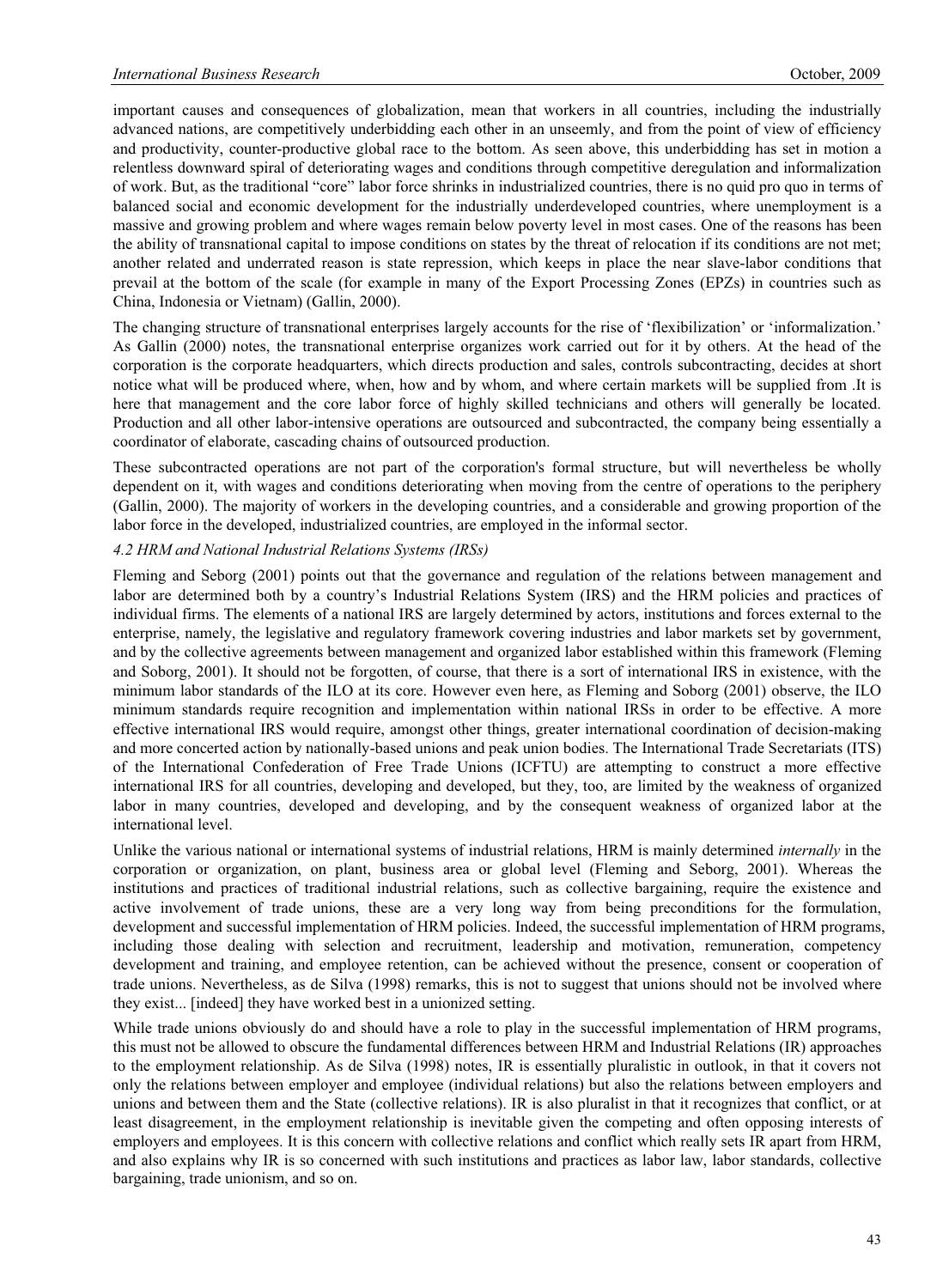important causes and consequences of globalization, mean that workers in all countries, including the industrially advanced nations, are competitively underbidding each other in an unseemly, and from the point of view of efficiency and productivity, counter-productive global race to the bottom. As seen above, this underbidding has set in motion a relentless downward spiral of deteriorating wages and conditions through competitive deregulation and informalization of work. But, as the traditional "core" labor force shrinks in industrialized countries, there is no quid pro quo in terms of balanced social and economic development for the industrially underdeveloped countries, where unemployment is a massive and growing problem and where wages remain below poverty level in most cases. One of the reasons has been the ability of transnational capital to impose conditions on states by the threat of relocation if its conditions are not met; another related and underrated reason is state repression, which keeps in place the near slave-labor conditions that prevail at the bottom of the scale (for example in many of the Export Processing Zones (EPZs) in countries such as China, Indonesia or Vietnam) (Gallin, 2000).

The changing structure of transnational enterprises largely accounts for the rise of 'flexibilization' or 'informalization.' As Gallin (2000) notes, the transnational enterprise organizes work carried out for it by others. At the head of the corporation is the corporate headquarters, which directs production and sales, controls subcontracting, decides at short notice what will be produced where, when, how and by whom, and where certain markets will be supplied from .It is here that management and the core labor force of highly skilled technicians and others will generally be located. Production and all other labor-intensive operations are outsourced and subcontracted, the company being essentially a coordinator of elaborate, cascading chains of outsourced production.

These subcontracted operations are not part of the corporation's formal structure, but will nevertheless be wholly dependent on it, with wages and conditions deteriorating when moving from the centre of operations to the periphery (Gallin, 2000). The majority of workers in the developing countries, and a considerable and growing proportion of the labor force in the developed, industrialized countries, are employed in the informal sector.

# *4.2 HRM and National Industrial Relations Systems (IRSs)*

Fleming and Seborg (2001) points out that the governance and regulation of the relations between management and labor are determined both by a country's Industrial Relations System (IRS) and the HRM policies and practices of individual firms. The elements of a national IRS are largely determined by actors, institutions and forces external to the enterprise, namely, the legislative and regulatory framework covering industries and labor markets set by government, and by the collective agreements between management and organized labor established within this framework (Fleming and Soborg, 2001). It should not be forgotten, of course, that there is a sort of international IRS in existence, with the minimum labor standards of the ILO at its core. However even here, as Fleming and Soborg (2001) observe, the ILO minimum standards require recognition and implementation within national IRSs in order to be effective. A more effective international IRS would require, amongst other things, greater international coordination of decision-making and more concerted action by nationally-based unions and peak union bodies. The International Trade Secretariats (ITS) of the International Confederation of Free Trade Unions (ICFTU) are attempting to construct a more effective international IRS for all countries, developing and developed, but they, too, are limited by the weakness of organized labor in many countries, developed and developing, and by the consequent weakness of organized labor at the international level.

Unlike the various national or international systems of industrial relations, HRM is mainly determined *internally* in the corporation or organization, on plant, business area or global level (Fleming and Seborg, 2001). Whereas the institutions and practices of traditional industrial relations, such as collective bargaining, require the existence and active involvement of trade unions, these are a very long way from being preconditions for the formulation, development and successful implementation of HRM policies. Indeed, the successful implementation of HRM programs, including those dealing with selection and recruitment, leadership and motivation, remuneration, competency development and training, and employee retention, can be achieved without the presence, consent or cooperation of trade unions. Nevertheless, as de Silva (1998) remarks, this is not to suggest that unions should not be involved where they exist... [indeed] they have worked best in a unionized setting.

While trade unions obviously do and should have a role to play in the successful implementation of HRM programs, this must not be allowed to obscure the fundamental differences between HRM and Industrial Relations (IR) approaches to the employment relationship. As de Silva (1998) notes, IR is essentially pluralistic in outlook, in that it covers not only the relations between employer and employee (individual relations) but also the relations between employers and unions and between them and the State (collective relations). IR is also pluralist in that it recognizes that conflict, or at least disagreement, in the employment relationship is inevitable given the competing and often opposing interests of employers and employees. It is this concern with collective relations and conflict which really sets IR apart from HRM, and also explains why IR is so concerned with such institutions and practices as labor law, labor standards, collective bargaining, trade unionism, and so on.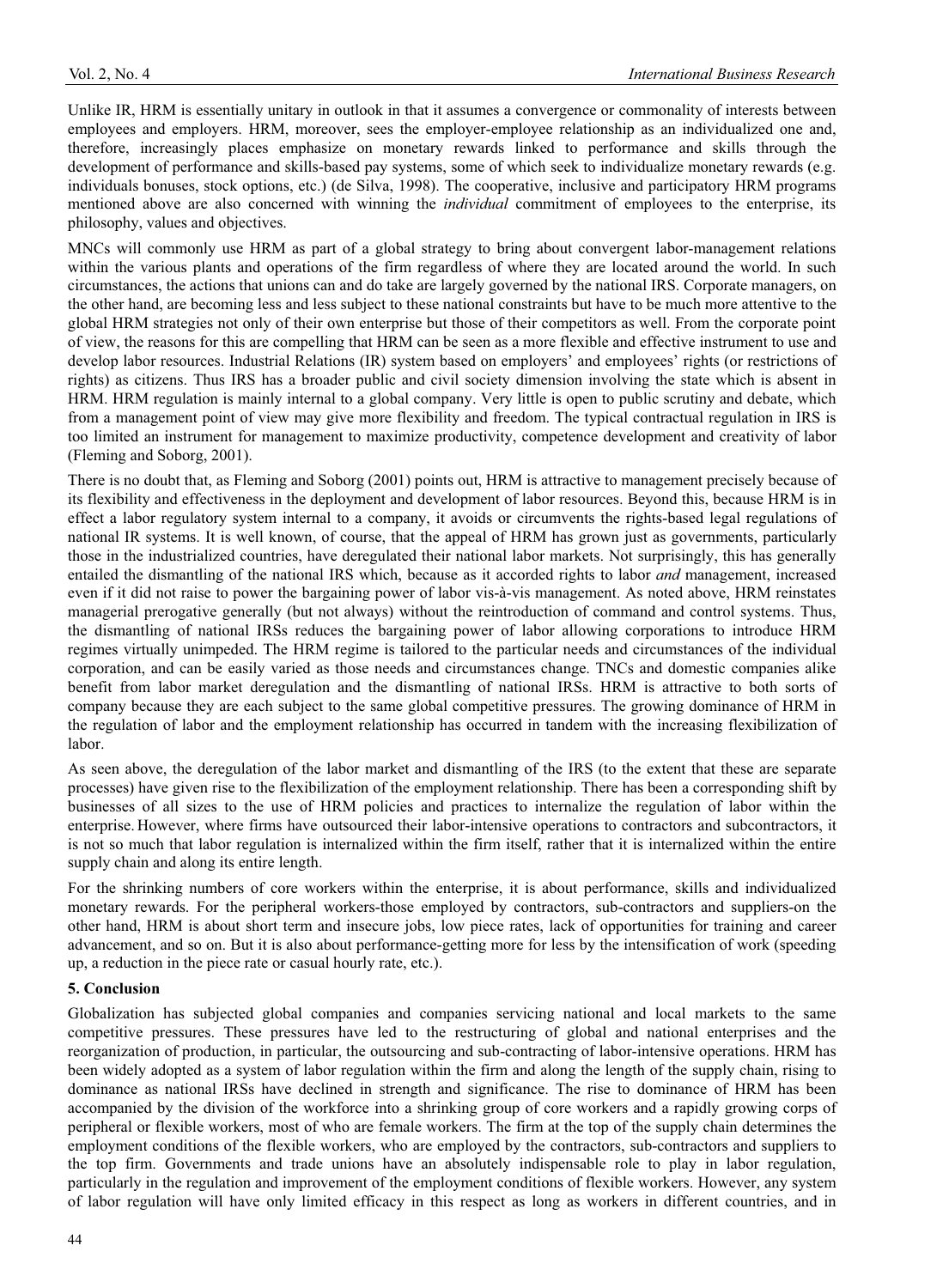Unlike IR, HRM is essentially unitary in outlook in that it assumes a convergence or commonality of interests between employees and employers. HRM, moreover, sees the employer-employee relationship as an individualized one and, therefore, increasingly places emphasize on monetary rewards linked to performance and skills through the development of performance and skills-based pay systems, some of which seek to individualize monetary rewards (e.g. individuals bonuses, stock options, etc.) (de Silva, 1998). The cooperative, inclusive and participatory HRM programs mentioned above are also concerned with winning the *individual* commitment of employees to the enterprise, its philosophy, values and objectives.

MNCs will commonly use HRM as part of a global strategy to bring about convergent labor-management relations within the various plants and operations of the firm regardless of where they are located around the world. In such circumstances, the actions that unions can and do take are largely governed by the national IRS. Corporate managers, on the other hand, are becoming less and less subject to these national constraints but have to be much more attentive to the global HRM strategies not only of their own enterprise but those of their competitors as well. From the corporate point of view, the reasons for this are compelling that HRM can be seen as a more flexible and effective instrument to use and develop labor resources. Industrial Relations (IR) system based on employers' and employees' rights (or restrictions of rights) as citizens. Thus IRS has a broader public and civil society dimension involving the state which is absent in HRM. HRM regulation is mainly internal to a global company. Very little is open to public scrutiny and debate, which from a management point of view may give more flexibility and freedom. The typical contractual regulation in IRS is too limited an instrument for management to maximize productivity, competence development and creativity of labor (Fleming and Soborg, 2001).

There is no doubt that, as Fleming and Soborg (2001) points out, HRM is attractive to management precisely because of its flexibility and effectiveness in the deployment and development of labor resources. Beyond this, because HRM is in effect a labor regulatory system internal to a company, it avoids or circumvents the rights-based legal regulations of national IR systems. It is well known, of course, that the appeal of HRM has grown just as governments, particularly those in the industrialized countries, have deregulated their national labor markets. Not surprisingly, this has generally entailed the dismantling of the national IRS which, because as it accorded rights to labor *and* management, increased even if it did not raise to power the bargaining power of labor vis-à-vis management. As noted above, HRM reinstates managerial prerogative generally (but not always) without the reintroduction of command and control systems. Thus, the dismantling of national IRSs reduces the bargaining power of labor allowing corporations to introduce HRM regimes virtually unimpeded. The HRM regime is tailored to the particular needs and circumstances of the individual corporation, and can be easily varied as those needs and circumstances change. TNCs and domestic companies alike benefit from labor market deregulation and the dismantling of national IRSs. HRM is attractive to both sorts of company because they are each subject to the same global competitive pressures. The growing dominance of HRM in the regulation of labor and the employment relationship has occurred in tandem with the increasing flexibilization of labor.

As seen above, the deregulation of the labor market and dismantling of the IRS (to the extent that these are separate processes) have given rise to the flexibilization of the employment relationship. There has been a corresponding shift by businesses of all sizes to the use of HRM policies and practices to internalize the regulation of labor within the enterprise. However, where firms have outsourced their labor-intensive operations to contractors and subcontractors, it is not so much that labor regulation is internalized within the firm itself, rather that it is internalized within the entire supply chain and along its entire length.

For the shrinking numbers of core workers within the enterprise, it is about performance, skills and individualized monetary rewards. For the peripheral workers-those employed by contractors, sub-contractors and suppliers-on the other hand, HRM is about short term and insecure jobs, low piece rates, lack of opportunities for training and career advancement, and so on. But it is also about performance-getting more for less by the intensification of work (speeding up, a reduction in the piece rate or casual hourly rate, etc.).

# **5. Conclusion**

Globalization has subjected global companies and companies servicing national and local markets to the same competitive pressures. These pressures have led to the restructuring of global and national enterprises and the reorganization of production, in particular, the outsourcing and sub-contracting of labor-intensive operations. HRM has been widely adopted as a system of labor regulation within the firm and along the length of the supply chain, rising to dominance as national IRSs have declined in strength and significance. The rise to dominance of HRM has been accompanied by the division of the workforce into a shrinking group of core workers and a rapidly growing corps of peripheral or flexible workers, most of who are female workers. The firm at the top of the supply chain determines the employment conditions of the flexible workers, who are employed by the contractors, sub-contractors and suppliers to the top firm. Governments and trade unions have an absolutely indispensable role to play in labor regulation, particularly in the regulation and improvement of the employment conditions of flexible workers. However, any system of labor regulation will have only limited efficacy in this respect as long as workers in different countries, and in